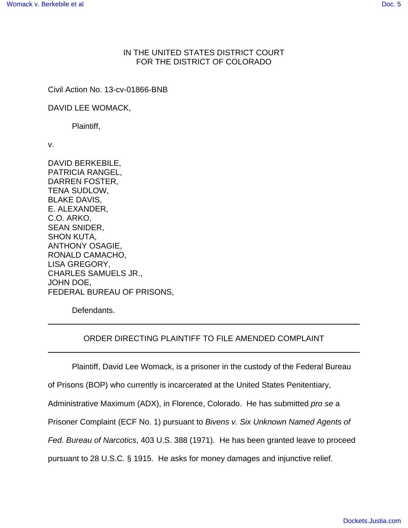## IN THE UNITED STATES DISTRICT COURT FOR THE DISTRICT OF COLORADO

Civil Action No. 13-cv-01866-BNB

DAVID LEE WOMACK,

Plaintiff,

v.

DAVID BERKEBILE, PATRICIA RANGEL, DARREN FOSTER, TENA SUDLOW, BLAKE DAVIS, E. ALEXANDER, C.O. ARKO, SEAN SNIDER, SHON KUTA, ANTHONY OSAGIE, RONALD CAMACHO, LISA GREGORY, CHARLES SAMUELS JR., JOHN DOE, FEDERAL BUREAU OF PRISONS,

Defendants.

## ORDER DIRECTING PLAINTIFF TO FILE AMENDED COMPLAINT

Plaintiff, David Lee Womack, is a prisoner in the custody of the Federal Bureau

of Prisons (BOP) who currently is incarcerated at the United States Penitentiary,

Administrative Maximum (ADX), in Florence, Colorado. He has submitted pro se a

Prisoner Complaint (ECF No. 1) pursuant to Bivens v. Six Unknown Named Agents of

Fed. Bureau of Narcotics, 403 U.S. 388 (1971). He has been granted leave to proceed

pursuant to 28 U.S.C. § 1915. He asks for money damages and injunctive relief.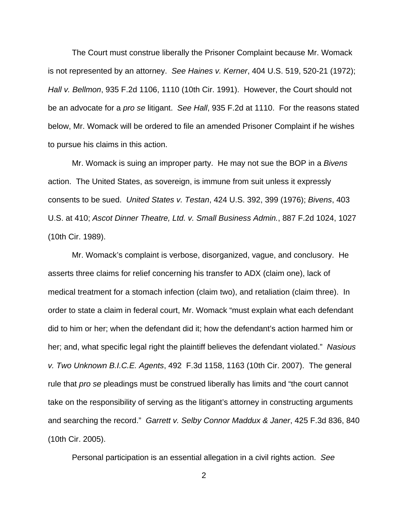The Court must construe liberally the Prisoner Complaint because Mr. Womack is not represented by an attorney. See Haines v. Kerner, 404 U.S. 519, 520-21 (1972); Hall v. Bellmon, 935 F.2d 1106, 1110 (10th Cir. 1991). However, the Court should not be an advocate for a *pro se* litigant. See Hall, 935 F.2d at 1110. For the reasons stated below, Mr. Womack will be ordered to file an amended Prisoner Complaint if he wishes to pursue his claims in this action.

Mr. Womack is suing an improper party. He may not sue the BOP in a *Bivens* action. The United States, as sovereign, is immune from suit unless it expressly consents to be sued. United States v. Testan, 424 U.S. 392, 399 (1976); Bivens, 403 U.S. at 410; Ascot Dinner Theatre, Ltd. v. Small Business Admin., 887 F.2d 1024, 1027 (10th Cir. 1989).

Mr. Womack's complaint is verbose, disorganized, vague, and conclusory. He asserts three claims for relief concerning his transfer to ADX (claim one), lack of medical treatment for a stomach infection (claim two), and retaliation (claim three). In order to state a claim in federal court, Mr. Womack "must explain what each defendant did to him or her; when the defendant did it; how the defendant's action harmed him or her; and, what specific legal right the plaintiff believes the defendant violated." Nasious v. Two Unknown B.I.C.E. Agents, 492 F.3d 1158, 1163 (10th Cir. 2007). The general rule that *pro se* pleadings must be construed liberally has limits and "the court cannot" take on the responsibility of serving as the litigant's attorney in constructing arguments and searching the record." Garrett v. Selby Connor Maddux & Janer, 425 F.3d 836, 840 (10th Cir. 2005).

Personal participation is an essential allegation in a civil rights action. See

2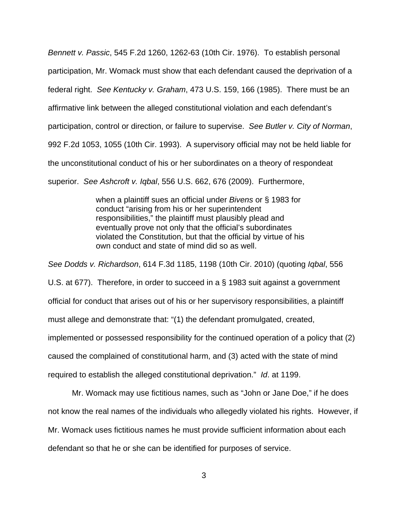Bennett v. Passic, 545 F.2d 1260, 1262-63 (10th Cir. 1976). To establish personal participation, Mr. Womack must show that each defendant caused the deprivation of a federal right. See Kentucky v. Graham, 473 U.S. 159, 166 (1985). There must be an affirmative link between the alleged constitutional violation and each defendant's participation, control or direction, or failure to supervise. See Butler v. City of Norman, 992 F.2d 1053, 1055 (10th Cir. 1993). A supervisory official may not be held liable for the unconstitutional conduct of his or her subordinates on a theory of respondeat superior. See Ashcroft v. Iqbal, 556 U.S. 662, 676 (2009). Furthermore,

> when a plaintiff sues an official under Bivens or § 1983 for conduct "arising from his or her superintendent responsibilities," the plaintiff must plausibly plead and eventually prove not only that the official's subordinates violated the Constitution, but that the official by virtue of his own conduct and state of mind did so as well.

See Dodds v. Richardson, 614 F.3d 1185, 1198 (10th Cir. 2010) (quoting Iqbal, 556 U.S. at 677). Therefore, in order to succeed in a § 1983 suit against a government official for conduct that arises out of his or her supervisory responsibilities, a plaintiff must allege and demonstrate that: "(1) the defendant promulgated, created, implemented or possessed responsibility for the continued operation of a policy that (2) caused the complained of constitutional harm, and (3) acted with the state of mind required to establish the alleged constitutional deprivation." Id. at 1199.

Mr. Womack may use fictitious names, such as "John or Jane Doe," if he does not know the real names of the individuals who allegedly violated his rights. However, if Mr. Womack uses fictitious names he must provide sufficient information about each defendant so that he or she can be identified for purposes of service.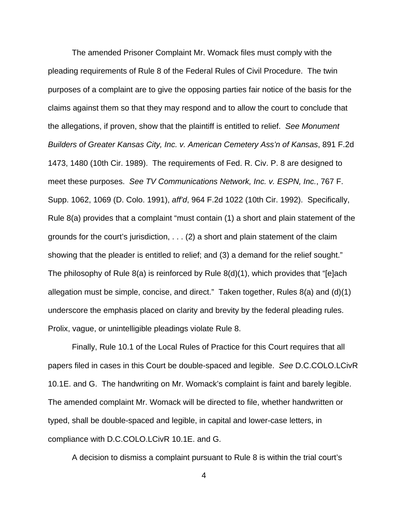The amended Prisoner Complaint Mr. Womack files must comply with the pleading requirements of Rule 8 of the Federal Rules of Civil Procedure. The twin purposes of a complaint are to give the opposing parties fair notice of the basis for the claims against them so that they may respond and to allow the court to conclude that the allegations, if proven, show that the plaintiff is entitled to relief. See Monument Builders of Greater Kansas City, Inc. v. American Cemetery Ass'n of Kansas, 891 F.2d 1473, 1480 (10th Cir. 1989). The requirements of Fed. R. Civ. P. 8 are designed to meet these purposes. See TV Communications Network, Inc. v. ESPN, Inc., 767 F. Supp. 1062, 1069 (D. Colo. 1991), aff'd, 964 F.2d 1022 (10th Cir. 1992). Specifically, Rule 8(a) provides that a complaint "must contain (1) a short and plain statement of the grounds for the court's jurisdiction, . . . (2) a short and plain statement of the claim showing that the pleader is entitled to relief; and (3) a demand for the relief sought." The philosophy of Rule 8(a) is reinforced by Rule 8(d)(1), which provides that "[e]ach allegation must be simple, concise, and direct." Taken together, Rules 8(a) and (d)(1) underscore the emphasis placed on clarity and brevity by the federal pleading rules. Prolix, vague, or unintelligible pleadings violate Rule 8.

Finally, Rule 10.1 of the Local Rules of Practice for this Court requires that all papers filed in cases in this Court be double-spaced and legible. See D.C.COLO.LCivR 10.1E. and G. The handwriting on Mr. Womack's complaint is faint and barely legible. The amended complaint Mr. Womack will be directed to file, whether handwritten or typed, shall be double-spaced and legible, in capital and lower-case letters, in compliance with D.C.COLO.LCivR 10.1E. and G.

A decision to dismiss a complaint pursuant to Rule 8 is within the trial court's

4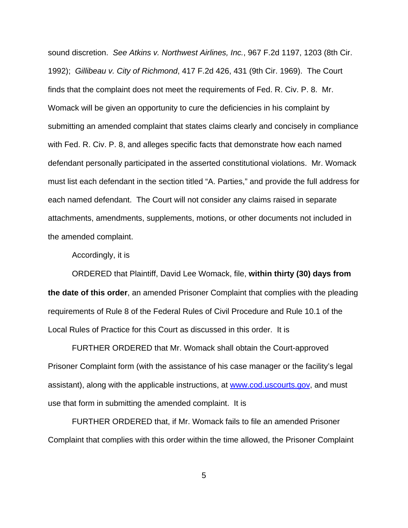sound discretion. See Atkins v. Northwest Airlines, Inc., 967 F.2d 1197, 1203 (8th Cir. 1992); Gillibeau v. City of Richmond, 417 F.2d 426, 431 (9th Cir. 1969). The Court finds that the complaint does not meet the requirements of Fed. R. Civ. P. 8. Mr. Womack will be given an opportunity to cure the deficiencies in his complaint by submitting an amended complaint that states claims clearly and concisely in compliance with Fed. R. Civ. P. 8, and alleges specific facts that demonstrate how each named defendant personally participated in the asserted constitutional violations. Mr. Womack must list each defendant in the section titled "A. Parties," and provide the full address for each named defendant. The Court will not consider any claims raised in separate attachments, amendments, supplements, motions, or other documents not included in the amended complaint.

Accordingly, it is

ORDERED that Plaintiff, David Lee Womack, file, **within thirty (30) days from the date of this order**, an amended Prisoner Complaint that complies with the pleading requirements of Rule 8 of the Federal Rules of Civil Procedure and Rule 10.1 of the Local Rules of Practice for this Court as discussed in this order. It is

FURTHER ORDERED that Mr. Womack shall obtain the Court-approved Prisoner Complaint form (with the assistance of his case manager or the facility's legal assistant), along with the applicable instructions, at www.cod.uscourts.gov, and must use that form in submitting the amended complaint. It is

FURTHER ORDERED that, if Mr. Womack fails to file an amended Prisoner Complaint that complies with this order within the time allowed, the Prisoner Complaint